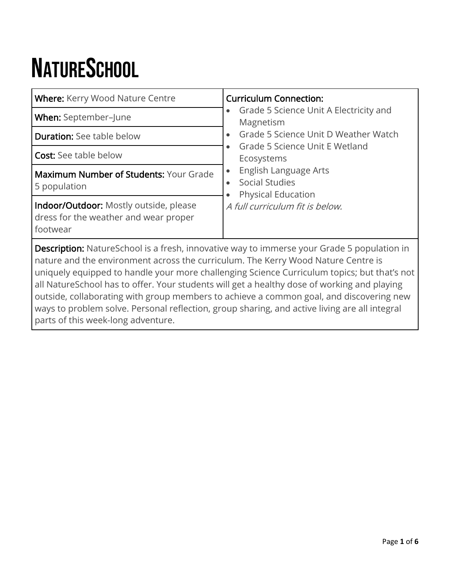# **NATURESCHOOL**

| <b>Where:</b> Kerry Wood Nature Centre                                                                                                                                                                                                                                                | <b>Curriculum Connection:</b><br>Grade 5 Science Unit A Electricity and<br>$\bullet$<br>Magnetism                                                                                                   |  |
|---------------------------------------------------------------------------------------------------------------------------------------------------------------------------------------------------------------------------------------------------------------------------------------|-----------------------------------------------------------------------------------------------------------------------------------------------------------------------------------------------------|--|
| When: September-June                                                                                                                                                                                                                                                                  |                                                                                                                                                                                                     |  |
| <b>Duration:</b> See table below                                                                                                                                                                                                                                                      | Grade 5 Science Unit D Weather Watch<br>$\bullet$<br>Grade 5 Science Unit E Wetland<br>$\bullet$<br>Ecosystems<br>English Language Arts<br>$\bullet$<br>Social Studies<br><b>Physical Education</b> |  |
| <b>Cost:</b> See table below                                                                                                                                                                                                                                                          |                                                                                                                                                                                                     |  |
| <b>Maximum Number of Students: Your Grade</b><br>5 population                                                                                                                                                                                                                         |                                                                                                                                                                                                     |  |
| Indoor/Outdoor: Mostly outside, please<br>dress for the weather and wear proper<br>footwear                                                                                                                                                                                           | A full curriculum fit is below.                                                                                                                                                                     |  |
| <b>Description:</b> NatureSchool is a fresh, innovative way to immerse your Grade 5 population in<br>nature and the environment across the curriculum. The Kerry Wood Nature Centre is<br>uniquely equipped to handle your more challenging Science Curriculum topics; but that's not |                                                                                                                                                                                                     |  |

all NatureSchool has to offer. Your students will get a healthy dose of working and playing outside, collaborating with group members to achieve a common goal, and discovering new ways to problem solve. Personal reflection, group sharing, and active living are all integral parts of this week-long adventure.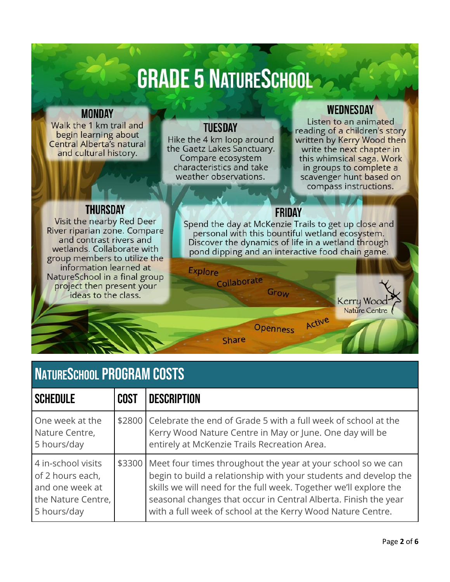## **GRADE 5 NATURESCHOOLS**

#### **MONDAY**

Walk the 1 km trail and begin learning about Central Alberta's natural and cultural history.

#### **TUESDAY**

Hike the 4 km loop around the Gaetz Lakes Sanctuary. Compare ecosystem characteristics and take weather observations.

Explore

Collaborate

**Share** 

#### **WEDNESDAY**

Listen to an animated reading of a children's story written by Kerry Wood then write the next chapter in this whimsical saga. Work in groups to complete a scavenger hunt based on compass instructions.

> Kerry Wood Nature Centre

#### **THURSDAY**

Visit the nearby Red Deer River riparian zone. Compare and contrast rivers and wetlands. Collaborate with group members to utilize the information learned at NatureSchool in a final group project then present your ideas to the class.

#### FRIDAY

Spend the day at McKenzie Trails to get up close and personal with this bountiful wetland ecosystem. Discover the dynamics of life in a wetland through pond dipping and an interactive food chain game.

Active

Grow

**Openness** 

### **NATURESCHOOL PROGRAM COSTS**

| <b>SCHEDULE</b>                                                                                | <b>COST</b> | <b>DESCRIPTION</b>                                                                                                                                                                                                                                                                                                                             |
|------------------------------------------------------------------------------------------------|-------------|------------------------------------------------------------------------------------------------------------------------------------------------------------------------------------------------------------------------------------------------------------------------------------------------------------------------------------------------|
| One week at the<br>Nature Centre,<br>5 hours/day                                               |             | \$2800 Celebrate the end of Grade 5 with a full week of school at the<br>Kerry Wood Nature Centre in May or June. One day will be<br>entirely at McKenzie Trails Recreation Area.                                                                                                                                                              |
| 4 in-school visits<br>of 2 hours each,<br>and one week at<br>the Nature Centre,<br>5 hours/day |             | \$3300 Meet four times throughout the year at your school so we can<br>begin to build a relationship with your students and develop the<br>skills we will need for the full week. Together we'll explore the<br>seasonal changes that occur in Central Alberta. Finish the year<br>with a full week of school at the Kerry Wood Nature Centre. |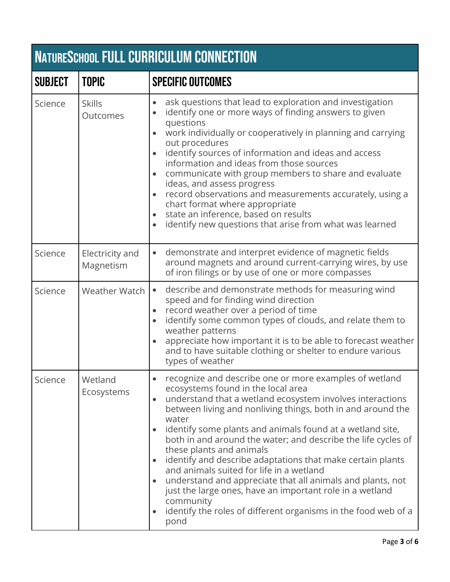| <b>NATURESCHOOL FULL CURRICULUM CONNECTION</b> |                              |                                                                                                                                                                                                                                                                                                                                                                                                                                                                                                                                                                                                                                                                                                                        |
|------------------------------------------------|------------------------------|------------------------------------------------------------------------------------------------------------------------------------------------------------------------------------------------------------------------------------------------------------------------------------------------------------------------------------------------------------------------------------------------------------------------------------------------------------------------------------------------------------------------------------------------------------------------------------------------------------------------------------------------------------------------------------------------------------------------|
| <b>SUBJECT</b>                                 | <b>TOPIC</b>                 | <b>SPECIFIC OUTCOMES</b>                                                                                                                                                                                                                                                                                                                                                                                                                                                                                                                                                                                                                                                                                               |
| Science                                        | <b>Skills</b><br>Outcomes    | ask questions that lead to exploration and investigation<br>identify one or more ways of finding answers to given<br>questions<br>work individually or cooperatively in planning and carrying<br>out procedures<br>identify sources of information and ideas and access<br>information and ideas from those sources<br>communicate with group members to share and evaluate<br>ideas, and assess progress<br>record observations and measurements accurately, using a<br>chart format where appropriate<br>state an inference, based on results<br>identify new questions that arise from what was learned                                                                                                             |
| Science                                        | Electricity and<br>Magnetism | demonstrate and interpret evidence of magnetic fields<br>around magnets and around current-carrying wires, by use<br>of iron filings or by use of one or more compasses                                                                                                                                                                                                                                                                                                                                                                                                                                                                                                                                                |
| Science                                        | Weather Watch                | describe and demonstrate methods for measuring wind<br>$\bullet$<br>speed and for finding wind direction<br>record weather over a period of time<br>identify some common types of clouds, and relate them to<br>weather patterns<br>appreciate how important it is to be able to forecast weather<br>and to have suitable clothing or shelter to endure various<br>types of weather                                                                                                                                                                                                                                                                                                                                    |
| Science                                        | Wetland<br>Ecosystems        | recognize and describe one or more examples of wetland<br>ecosystems found in the local area<br>understand that a wetland ecosystem involves interactions<br>between living and nonliving things, both in and around the<br>water<br>identify some plants and animals found at a wetland site,<br>both in and around the water; and describe the life cycles of<br>these plants and animals<br>identify and describe adaptations that make certain plants<br>and animals suited for life in a wetland<br>understand and appreciate that all animals and plants, not<br>just the large ones, have an important role in a wetland<br>community<br>identify the roles of different organisms in the food web of a<br>pond |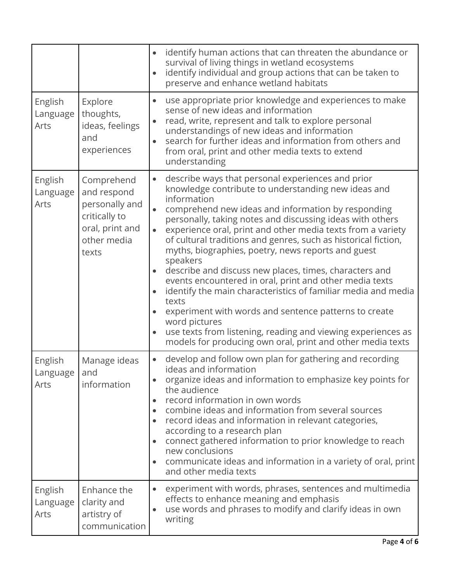|                             |                                                                                                         | identify human actions that can threaten the abundance or<br>survival of living things in wetland ecosystems<br>identify individual and group actions that can be taken to<br>$\bullet$<br>preserve and enhance wetland habitats                                                                                                                                                                                                                                                                                                                                                                                                                                                                                                                                                                                                                                               |
|-----------------------------|---------------------------------------------------------------------------------------------------------|--------------------------------------------------------------------------------------------------------------------------------------------------------------------------------------------------------------------------------------------------------------------------------------------------------------------------------------------------------------------------------------------------------------------------------------------------------------------------------------------------------------------------------------------------------------------------------------------------------------------------------------------------------------------------------------------------------------------------------------------------------------------------------------------------------------------------------------------------------------------------------|
| English<br>Language<br>Arts | Explore<br>thoughts,<br>ideas, feelings<br>and<br>experiences                                           | use appropriate prior knowledge and experiences to make<br>sense of new ideas and information<br>read, write, represent and talk to explore personal<br>understandings of new ideas and information<br>search for further ideas and information from others and<br>from oral, print and other media texts to extend<br>understanding                                                                                                                                                                                                                                                                                                                                                                                                                                                                                                                                           |
| English<br>Language<br>Arts | Comprehend<br>and respond<br>personally and<br>critically to<br>oral, print and<br>other media<br>texts | describe ways that personal experiences and prior<br>knowledge contribute to understanding new ideas and<br>information<br>comprehend new ideas and information by responding<br>personally, taking notes and discussing ideas with others<br>experience oral, print and other media texts from a variety<br>of cultural traditions and genres, such as historical fiction,<br>myths, biographies, poetry, news reports and guest<br>speakers<br>describe and discuss new places, times, characters and<br>$\bullet$<br>events encountered in oral, print and other media texts<br>identify the main characteristics of familiar media and media<br>texts<br>experiment with words and sentence patterns to create<br>word pictures<br>use texts from listening, reading and viewing experiences as<br>$\bullet$<br>models for producing own oral, print and other media texts |
| English<br>Language<br>Arts | Manage ideas<br>and<br>information                                                                      | develop and follow own plan for gathering and recording<br>ideas and information<br>organize ideas and information to emphasize key points for<br>the audience<br>record information in own words<br>combine ideas and information from several sources<br>record ideas and information in relevant categories,<br>$\bullet$<br>according to a research plan<br>connect gathered information to prior knowledge to reach<br>new conclusions<br>communicate ideas and information in a variety of oral, print<br>and other media texts                                                                                                                                                                                                                                                                                                                                          |
| English<br>Language<br>Arts | Enhance the<br>clarity and<br>artistry of<br>communication                                              | experiment with words, phrases, sentences and multimedia<br>effects to enhance meaning and emphasis<br>use words and phrases to modify and clarify ideas in own<br>writing                                                                                                                                                                                                                                                                                                                                                                                                                                                                                                                                                                                                                                                                                                     |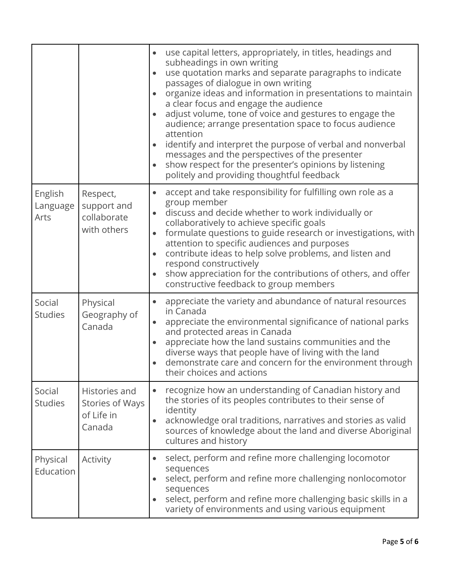|                             |                                                          | use capital letters, appropriately, in titles, headings and<br>subheadings in own writing<br>use quotation marks and separate paragraphs to indicate<br>$\bullet$<br>passages of dialogue in own writing<br>organize ideas and information in presentations to maintain<br>a clear focus and engage the audience<br>adjust volume, tone of voice and gestures to engage the<br>audience; arrange presentation space to focus audience<br>attention<br>identify and interpret the purpose of verbal and nonverbal<br>messages and the perspectives of the presenter<br>show respect for the presenter's opinions by listening<br>politely and providing thoughtful feedback |
|-----------------------------|----------------------------------------------------------|----------------------------------------------------------------------------------------------------------------------------------------------------------------------------------------------------------------------------------------------------------------------------------------------------------------------------------------------------------------------------------------------------------------------------------------------------------------------------------------------------------------------------------------------------------------------------------------------------------------------------------------------------------------------------|
| English<br>Language<br>Arts | Respect,<br>support and<br>collaborate<br>with others    | accept and take responsibility for fulfilling own role as a<br>group member<br>discuss and decide whether to work individually or<br>collaboratively to achieve specific goals<br>formulate questions to guide research or investigations, with<br>attention to specific audiences and purposes<br>contribute ideas to help solve problems, and listen and<br>respond constructively<br>show appreciation for the contributions of others, and offer<br>constructive feedback to group members                                                                                                                                                                             |
| Social<br><b>Studies</b>    | Physical<br>Geography of<br>Canada                       | appreciate the variety and abundance of natural resources<br>in Canada<br>appreciate the environmental significance of national parks<br>and protected areas in Canada<br>appreciate how the land sustains communities and the<br>$\bullet$<br>diverse ways that people have of living with the land<br>demonstrate care and concern for the environment through<br>their choices and actions                                                                                                                                                                                                                                                                              |
| Social<br><b>Studies</b>    | Histories and<br>Stories of Ways<br>of Life in<br>Canada | recognize how an understanding of Canadian history and<br>the stories of its peoples contributes to their sense of<br>identity<br>acknowledge oral traditions, narratives and stories as valid<br>sources of knowledge about the land and diverse Aboriginal<br>cultures and history                                                                                                                                                                                                                                                                                                                                                                                       |
| Physical<br>Education       | Activity                                                 | select, perform and refine more challenging locomotor<br>sequences<br>select, perform and refine more challenging nonlocomotor<br>sequences<br>select, perform and refine more challenging basic skills in a<br>variety of environments and using various equipment                                                                                                                                                                                                                                                                                                                                                                                                        |